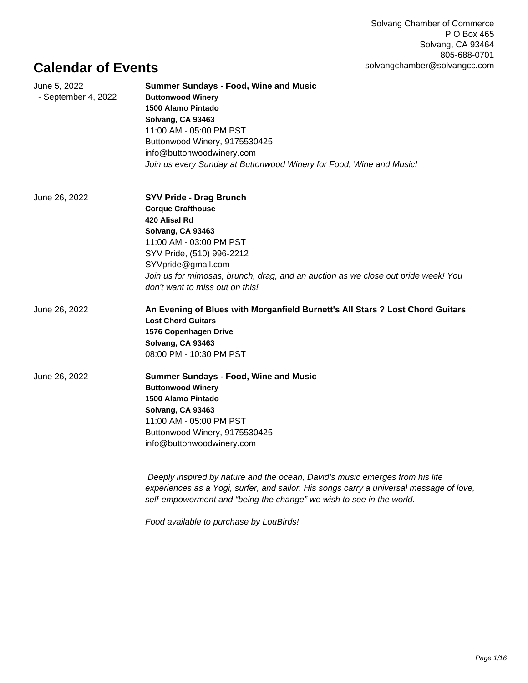## **Calendar of Events**

| June 5, 2022<br>- September 4, 2022 | <b>Summer Sundays - Food, Wine and Music</b><br><b>Buttonwood Winery</b><br>1500 Alamo Pintado<br>Solvang, CA 93463<br>11:00 AM - 05:00 PM PST<br>Buttonwood Winery, 9175530425<br>info@buttonwoodwinery.com<br>Join us every Sunday at Buttonwood Winery for Food, Wine and Music!                    |
|-------------------------------------|--------------------------------------------------------------------------------------------------------------------------------------------------------------------------------------------------------------------------------------------------------------------------------------------------------|
| June 26, 2022                       | <b>SYV Pride - Drag Brunch</b><br><b>Corque Crafthouse</b><br>420 Alisal Rd<br>Solvang, CA 93463<br>11:00 AM - 03:00 PM PST<br>SYV Pride, (510) 996-2212<br>SYVpride@gmail.com<br>Join us for mimosas, brunch, drag, and an auction as we close out pride week! You<br>don't want to miss out on this! |
| June 26, 2022                       | An Evening of Blues with Morganfield Burnett's All Stars ? Lost Chord Guitars<br><b>Lost Chord Guitars</b><br>1576 Copenhagen Drive<br>Solvang, CA 93463<br>08:00 PM - 10:30 PM PST                                                                                                                    |
| June 26, 2022                       | <b>Summer Sundays - Food, Wine and Music</b><br><b>Buttonwood Winery</b><br>1500 Alamo Pintado<br>Solvang, CA 93463<br>11:00 AM - 05:00 PM PST<br>Buttonwood Winery, 9175530425<br>info@buttonwoodwinery.com                                                                                           |
|                                     | Deeply inspired by nature and the ocean, David's music emerges from his life<br>experiences as a Yogi, surfer, and sailor. His songs carry a universal message of love,<br>self-empowerment and "being the change" we wish to see in the world.                                                        |

Food available to purchase by LouBirds!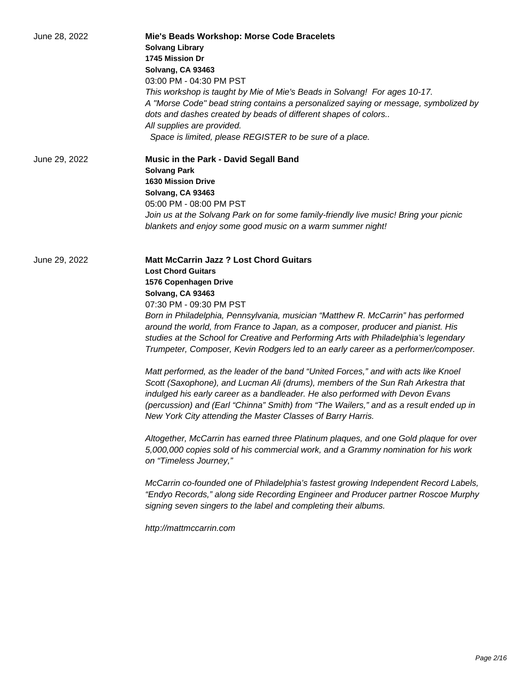| June 28, 2022 | Mie's Beads Workshop: Morse Code Bracelets<br><b>Solvang Library</b><br>1745 Mission Dr<br>Solvang, CA 93463<br>03:00 PM - 04:30 PM PST<br>This workshop is taught by Mie of Mie's Beads in Solvang! For ages 10-17.<br>A "Morse Code" bead string contains a personalized saying or message, symbolized by<br>dots and dashes created by beads of different shapes of colors<br>All supplies are provided.<br>Space is limited, please REGISTER to be sure of a place.                                                                                                                                                                                                                                                                                                                                                                                                                                                                                                                                                                                                                                                                                                                                                                                                                                                                                                                                           |
|---------------|-------------------------------------------------------------------------------------------------------------------------------------------------------------------------------------------------------------------------------------------------------------------------------------------------------------------------------------------------------------------------------------------------------------------------------------------------------------------------------------------------------------------------------------------------------------------------------------------------------------------------------------------------------------------------------------------------------------------------------------------------------------------------------------------------------------------------------------------------------------------------------------------------------------------------------------------------------------------------------------------------------------------------------------------------------------------------------------------------------------------------------------------------------------------------------------------------------------------------------------------------------------------------------------------------------------------------------------------------------------------------------------------------------------------|
| June 29, 2022 | Music in the Park - David Segall Band<br><b>Solvang Park</b><br><b>1630 Mission Drive</b><br>Solvang, CA 93463<br>05:00 PM - 08:00 PM PST<br>Join us at the Solvang Park on for some family-friendly live music! Bring your picnic<br>blankets and enjoy some good music on a warm summer night!                                                                                                                                                                                                                                                                                                                                                                                                                                                                                                                                                                                                                                                                                                                                                                                                                                                                                                                                                                                                                                                                                                                  |
| June 29, 2022 | <b>Matt McCarrin Jazz ? Lost Chord Guitars</b><br><b>Lost Chord Guitars</b><br>1576 Copenhagen Drive<br>Solvang, CA 93463<br>07:30 PM - 09:30 PM PST<br>Born in Philadelphia, Pennsylvania, musician "Matthew R. McCarrin" has performed<br>around the world, from France to Japan, as a composer, producer and pianist. His<br>studies at the School for Creative and Performing Arts with Philadelphia's legendary<br>Trumpeter, Composer, Kevin Rodgers led to an early career as a performer/composer.<br>Matt performed, as the leader of the band "United Forces," and with acts like Knoel<br>Scott (Saxophone), and Lucman Ali (drums), members of the Sun Rah Arkestra that<br>indulged his early career as a bandleader. He also performed with Devon Evans<br>(percussion) and (Earl "Chinna" Smith) from "The Wailers," and as a result ended up in<br>New York City attending the Master Classes of Barry Harris.<br>Altogether, McCarrin has earned three Platinum plaques, and one Gold plaque for over<br>5,000,000 copies sold of his commercial work, and a Grammy nomination for his work<br>on "Timeless Journey,"<br>McCarrin co-founded one of Philadelphia's fastest growing Independent Record Labels,<br>"Endyo Records," along side Recording Engineer and Producer partner Roscoe Murphy<br>signing seven singers to the label and completing their albums.<br>http://mattmccarrin.com |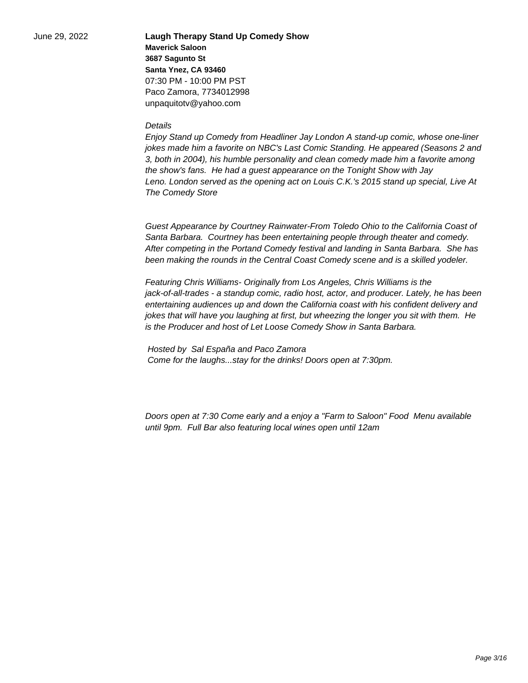June 29, 2022 **Laugh Therapy Stand Up Comedy Show Maverick Saloon 3687 Sagunto St Santa Ynez, CA 93460** 07:30 PM - 10:00 PM PST Paco Zamora, 7734012998 unpaquitotv@yahoo.com

## **Details**

Enjoy Stand up Comedy from Headliner Jay London A stand-up comic, whose one-liner jokes made him a favorite on NBC's Last Comic Standing. He appeared (Seasons 2 and 3, both in 2004), his humble personality and clean comedy made him a favorite among the show's fans. He had a guest appearance on the Tonight Show with Jay Leno. London served as the opening act on Louis C.K.'s 2015 stand up special, Live At The Comedy Store

Guest Appearance by Courtney Rainwater-From Toledo Ohio to the California Coast of Santa Barbara. Courtney has been entertaining people through theater and comedy. After competing in the Portand Comedy festival and landing in Santa Barbara. She has been making the rounds in the Central Coast Comedy scene and is a skilled yodeler.

Featuring Chris Williams- Originally from Los Angeles, Chris Williams is the jack-of-all-trades - a standup comic, radio host, actor, and producer. Lately, he has been entertaining audiences up and down the California coast with his confident delivery and jokes that will have you laughing at first, but wheezing the longer you sit with them. He is the Producer and host of Let Loose Comedy Show in Santa Barbara.

 Hosted by Sal España and Paco Zamora Come for the laughs...stay for the drinks! Doors open at 7:30pm.

Doors open at 7:30 Come early and a enjoy a "Farm to Saloon" Food Menu available until 9pm. Full Bar also featuring local wines open until 12am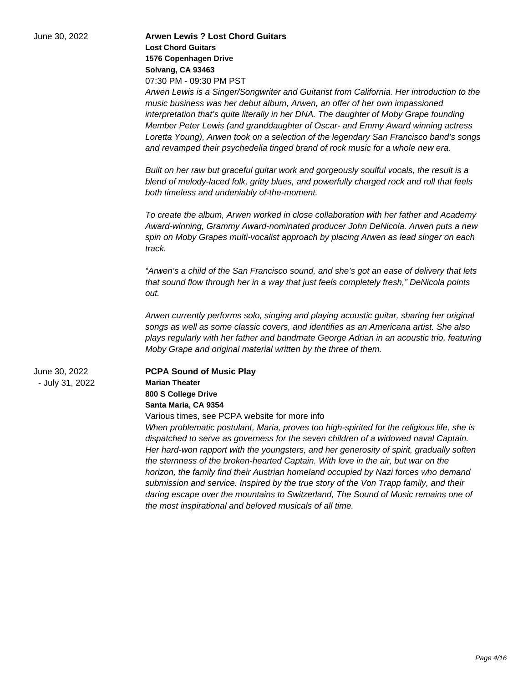| June 30, 2022                    | <b>Arwen Lewis ? Lost Chord Guitars</b><br><b>Lost Chord Guitars</b><br>1576 Copenhagen Drive<br>Solvang, CA 93463<br>07:30 PM - 09:30 PM PST<br>Arwen Lewis is a Singer/Songwriter and Guitarist from California. Her introduction to the<br>music business was her debut album, Arwen, an offer of her own impassioned<br>interpretation that's quite literally in her DNA. The daughter of Moby Grape founding<br>Member Peter Lewis (and granddaughter of Oscar- and Emmy Award winning actress<br>Loretta Young), Arwen took on a selection of the legendary San Francisco band's songs<br>and revamped their psychedelia tinged brand of rock music for a whole new era.<br>Built on her raw but graceful guitar work and gorgeously soulful vocals, the result is a<br>blend of melody-laced folk, gritty blues, and powerfully charged rock and roll that feels |
|----------------------------------|-------------------------------------------------------------------------------------------------------------------------------------------------------------------------------------------------------------------------------------------------------------------------------------------------------------------------------------------------------------------------------------------------------------------------------------------------------------------------------------------------------------------------------------------------------------------------------------------------------------------------------------------------------------------------------------------------------------------------------------------------------------------------------------------------------------------------------------------------------------------------|
|                                  | both timeless and undeniably of-the-moment.<br>To create the album, Arwen worked in close collaboration with her father and Academy<br>Award-winning, Grammy Award-nominated producer John DeNicola. Arwen puts a new<br>spin on Moby Grapes multi-vocalist approach by placing Arwen as lead singer on each<br>track.<br>"Arwen's a child of the San Francisco sound, and she's got an ease of delivery that lets<br>that sound flow through her in a way that just feels completely fresh," DeNicola points<br>out.                                                                                                                                                                                                                                                                                                                                                   |
|                                  | Arwen currently performs solo, singing and playing acoustic guitar, sharing her original<br>songs as well as some classic covers, and identifies as an Americana artist. She also<br>plays regularly with her father and bandmate George Adrian in an acoustic trio, featuring<br>Moby Grape and original material written by the three of them.                                                                                                                                                                                                                                                                                                                                                                                                                                                                                                                        |
| June 30, 2022<br>- July 31, 2022 | <b>PCPA Sound of Music Play</b><br><b>Marian Theater</b><br>800 S College Drive<br>Santa Maria, CA 9354<br>Various times, see PCPA website for more info<br>When problematic postulant, Maria, proves too high-spirited for the religious life, she is<br>dispatched to serve as governess for the seven children of a widowed naval Captain.<br>Her hard-won rapport with the youngsters, and her generosity of spirit, gradually soften<br>the sternness of the broken-hearted Captain. With love in the air, but war on the<br>horizon, the family find their Austrian homeland occupied by Nazi forces who demand<br>submission and service. Inspired by the true story of the Von Trapp family, and their                                                                                                                                                          |

the most inspirational and beloved musicals of all time.

daring escape over the mountains to Switzerland, The Sound of Music remains one of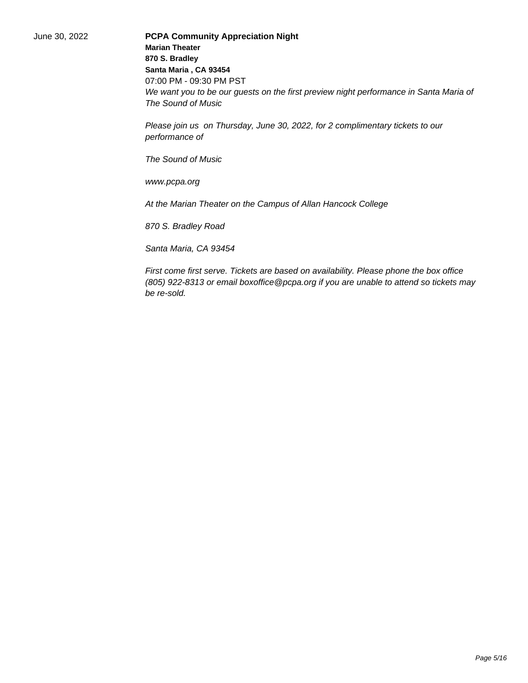June 30, 2022 **PCPA Community Appreciation Night Marian Theater 870 S. Bradley Santa Maria , CA 93454** 07:00 PM - 09:30 PM PST We want you to be our guests on the first preview night performance in Santa Maria of The Sound of Music

> Please join us on Thursday, June 30, 2022, for 2 complimentary tickets to our performance of

The Sound of Music

www.pcpa.org

At the Marian Theater on the Campus of Allan Hancock College

870 S. Bradley Road

Santa Maria, CA 93454

First come first serve. Tickets are based on availability. Please phone the box office (805) 922-8313 or email boxoffice@pcpa.org if you are unable to attend so tickets may be re-sold.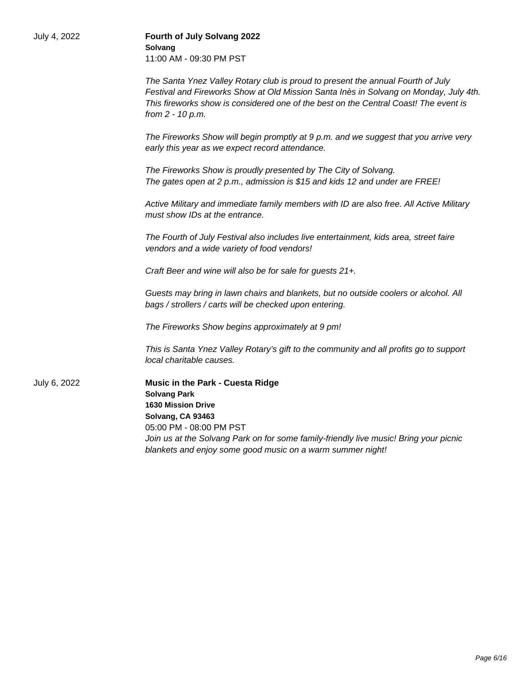| July 4, 2022 | Fourth of July Solvang 2022<br>Solvang<br>11:00 AM - 09:30 PM PST                                                                                                                                                                                                                           |
|--------------|---------------------------------------------------------------------------------------------------------------------------------------------------------------------------------------------------------------------------------------------------------------------------------------------|
|              | The Santa Ynez Valley Rotary club is proud to present the annual Fourth of July<br>Festival and Fireworks Show at Old Mission Santa Inès in Solvang on Monday, July 4th.<br>This fireworks show is considered one of the best on the Central Coast! The event is<br>from 2 - 10 p.m.        |
|              | The Fireworks Show will begin promptly at 9 p.m. and we suggest that you arrive very<br>early this year as we expect record attendance.                                                                                                                                                     |
|              | The Fireworks Show is proudly presented by The City of Solvang.<br>The gates open at 2 p.m., admission is \$15 and kids 12 and under are FREE!                                                                                                                                              |
|              | Active Military and immediate family members with ID are also free. All Active Military<br>must show IDs at the entrance.                                                                                                                                                                   |
|              | The Fourth of July Festival also includes live entertainment, kids area, street faire<br>vendors and a wide variety of food vendors!                                                                                                                                                        |
|              | Craft Beer and wine will also be for sale for guests 21+.                                                                                                                                                                                                                                   |
|              | Guests may bring in lawn chairs and blankets, but no outside coolers or alcohol. All<br>bags / strollers / carts will be checked upon entering.                                                                                                                                             |
|              | The Fireworks Show begins approximately at 9 pm!                                                                                                                                                                                                                                            |
|              | This is Santa Ynez Valley Rotary's gift to the community and all profits go to support<br>local charitable causes.                                                                                                                                                                          |
| July 6, 2022 | Music in the Park - Cuesta Ridge<br><b>Solvang Park</b><br><b>1630 Mission Drive</b><br>Solvang, CA 93463<br>05:00 PM - 08:00 PM PST<br>Join us at the Solvang Park on for some family-friendly live music! Bring your picnic<br>blankets and enjoy some good music on a warm summer night! |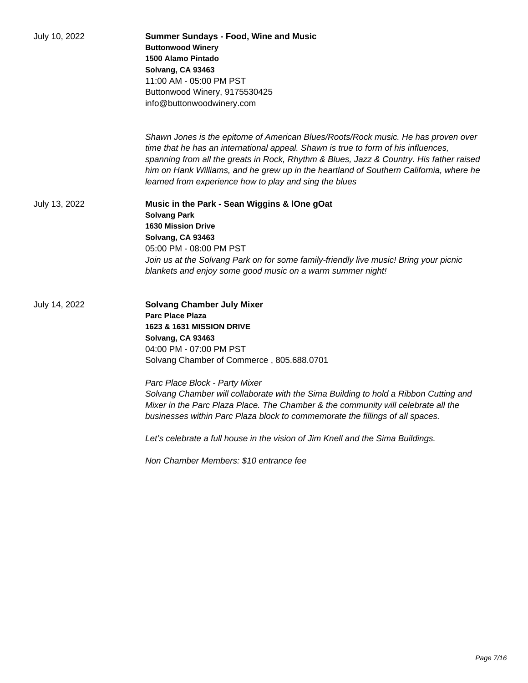| July 10, 2022 | <b>Summer Sundays - Food, Wine and Music</b><br><b>Buttonwood Winery</b><br>1500 Alamo Pintado<br>Solvang, CA 93463<br>11:00 AM - 05:00 PM PST<br>Buttonwood Winery, 9175530425<br>info@buttonwoodwinery.com                                                                                                                                                                                                           |
|---------------|------------------------------------------------------------------------------------------------------------------------------------------------------------------------------------------------------------------------------------------------------------------------------------------------------------------------------------------------------------------------------------------------------------------------|
|               | Shawn Jones is the epitome of American Blues/Roots/Rock music. He has proven over<br>time that he has an international appeal. Shawn is true to form of his influences,<br>spanning from all the greats in Rock, Rhythm & Blues, Jazz & Country. His father raised<br>him on Hank Williams, and he grew up in the heartland of Southern California, where he<br>learned from experience how to play and sing the blues |
| July 13, 2022 | Music in the Park - Sean Wiggins & IOne gOat<br><b>Solvang Park</b><br><b>1630 Mission Drive</b><br>Solvang, CA 93463<br>05:00 PM - 08:00 PM PST<br>Join us at the Solvang Park on for some family-friendly live music! Bring your picnic<br>blankets and enjoy some good music on a warm summer night!                                                                                                                |
| July 14, 2022 | <b>Solvang Chamber July Mixer</b><br><b>Parc Place Plaza</b><br>1623 & 1631 MISSION DRIVE<br>Solvang, CA 93463<br>04:00 PM - 07:00 PM PST<br>Solvang Chamber of Commerce, 805.688.0701                                                                                                                                                                                                                                 |
|               | Parc Place Block - Party Mixer<br>Solvang Chamber will collaborate with the Sima Building to hold a Ribbon Cutting and<br>Mixer in the Parc Plaza Place. The Chamber & the community will celebrate all the<br>businesses within Parc Plaza block to commemorate the fillings of all spaces.                                                                                                                           |
|               | Let's celebrate a full house in the vision of Jim Knell and the Sima Buildings.                                                                                                                                                                                                                                                                                                                                        |
|               | Non Chamber Members: \$10 entrance fee                                                                                                                                                                                                                                                                                                                                                                                 |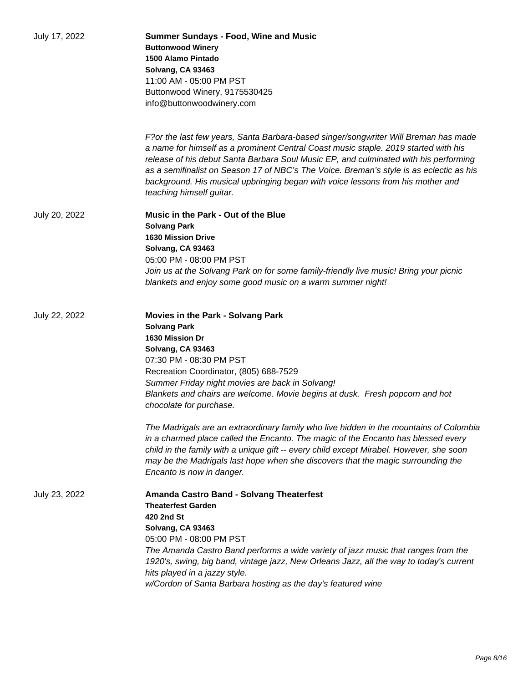| July 17, 2022 | <b>Summer Sundays - Food, Wine and Music</b><br><b>Buttonwood Winery</b><br>1500 Alamo Pintado<br>Solvang, CA 93463<br>11:00 AM - 05:00 PM PST<br>Buttonwood Winery, 9175530425<br>info@buttonwoodwinery.com                                                                                                                                                                                                                                                                 |
|---------------|------------------------------------------------------------------------------------------------------------------------------------------------------------------------------------------------------------------------------------------------------------------------------------------------------------------------------------------------------------------------------------------------------------------------------------------------------------------------------|
|               | F?or the last few years, Santa Barbara-based singer/songwriter Will Breman has made<br>a name for himself as a prominent Central Coast music staple. 2019 started with his<br>release of his debut Santa Barbara Soul Music EP, and culminated with his performing<br>as a semifinalist on Season 17 of NBC's The Voice. Breman's style is as eclectic as his<br>background. His musical upbringing began with voice lessons from his mother and<br>teaching himself guitar. |
| July 20, 2022 | Music in the Park - Out of the Blue<br><b>Solvang Park</b><br><b>1630 Mission Drive</b><br>Solvang, CA 93463<br>05:00 PM - 08:00 PM PST<br>Join us at the Solvang Park on for some family-friendly live music! Bring your picnic<br>blankets and enjoy some good music on a warm summer night!                                                                                                                                                                               |
| July 22, 2022 | <b>Movies in the Park - Solvang Park</b><br><b>Solvang Park</b><br>1630 Mission Dr<br>Solvang, CA 93463<br>07:30 PM - 08:30 PM PST<br>Recreation Coordinator, (805) 688-7529<br>Summer Friday night movies are back in Solvang!<br>Blankets and chairs are welcome. Movie begins at dusk. Fresh popcorn and hot<br>chocolate for purchase.                                                                                                                                   |
|               | The Madrigals are an extraordinary family who live hidden in the mountains of Colombia<br>in a charmed place called the Encanto. The magic of the Encanto has blessed every<br>child in the family with a unique gift -- every child except Mirabel. However, she soon<br>may be the Madrigals last hope when she discovers that the magic surrounding the<br>Encanto is now in danger.                                                                                      |
| July 23, 2022 | <b>Amanda Castro Band - Solvang Theaterfest</b><br><b>Theaterfest Garden</b><br>420 2nd St<br>Solvang, CA 93463<br>05:00 PM - 08:00 PM PST<br>The Amanda Castro Band performs a wide variety of jazz music that ranges from the<br>1920's, swing, big band, vintage jazz, New Orleans Jazz, all the way to today's current<br>hits played in a jazzy style.<br>w/Cordon of Santa Barbara hosting as the day's featured wine                                                  |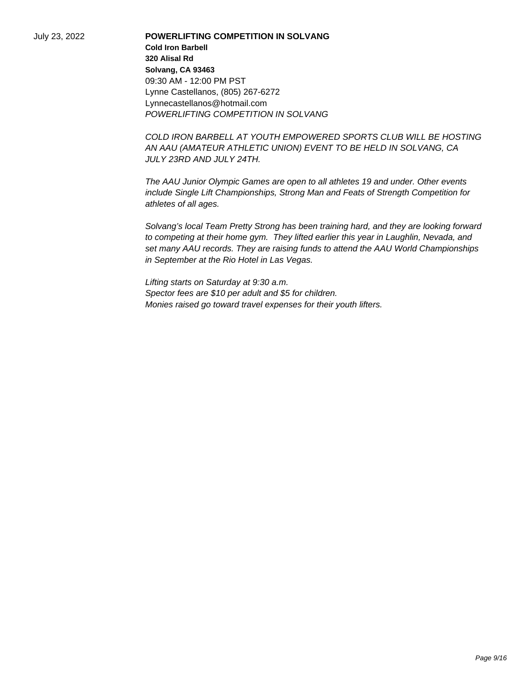July 23, 2022 **POWERLIFTING COMPETITION IN SOLVANG Cold Iron Barbell 320 Alisal Rd Solvang, CA 93463** 09:30 AM - 12:00 PM PST Lynne Castellanos, (805) 267-6272 Lynnecastellanos@hotmail.com POWERLIFTING COMPETITION IN SOLVANG

> COLD IRON BARBELL AT YOUTH EMPOWERED SPORTS CLUB WILL BE HOSTING AN AAU (AMATEUR ATHLETIC UNION) EVENT TO BE HELD IN SOLVANG, CA JULY 23RD AND JULY 24TH.

The AAU Junior Olympic Games are open to all athletes 19 and under. Other events include Single Lift Championships, Strong Man and Feats of Strength Competition for athletes of all ages.

Solvang's local Team Pretty Strong has been training hard, and they are looking forward to competing at their home gym. They lifted earlier this year in Laughlin, Nevada, and set many AAU records. They are raising funds to attend the AAU World Championships in September at the Rio Hotel in Las Vegas.

Lifting starts on Saturday at 9:30 a.m. Spector fees are \$10 per adult and \$5 for children. Monies raised go toward travel expenses for their youth lifters.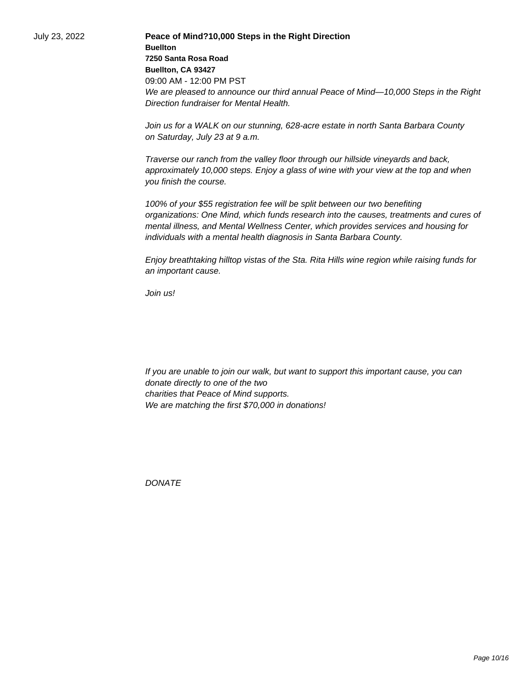July 23, 2022 **Peace of Mind?10,000 Steps in the Right Direction Buellton 7250 Santa Rosa Road Buellton, CA 93427** 09:00 AM - 12:00 PM PST We are pleased to announce our third annual Peace of Mind—10,000 Steps in the Right Direction fundraiser for Mental Health.

> Join us for a WALK on our stunning, 628-acre estate in north Santa Barbara County on Saturday, July 23 at 9 a.m.

Traverse our ranch from the valley floor through our hillside vineyards and back, approximately 10,000 steps. Enjoy a glass of wine with your view at the top and when you finish the course.

100% of your \$55 registration fee will be split between our two benefiting organizations: One Mind, which funds research into the causes, treatments and cures of mental illness, and Mental Wellness Center, which provides services and housing for individuals with a mental health diagnosis in Santa Barbara County.

Enjoy breathtaking hilltop vistas of the Sta. Rita Hills wine region while raising funds for an important cause.

Join us!

 If you are unable to join our walk, but want to support this important cause, you can donate directly to one of the two charities that Peace of Mind supports. We are matching the first \$70,000 in donations!

**DONATE**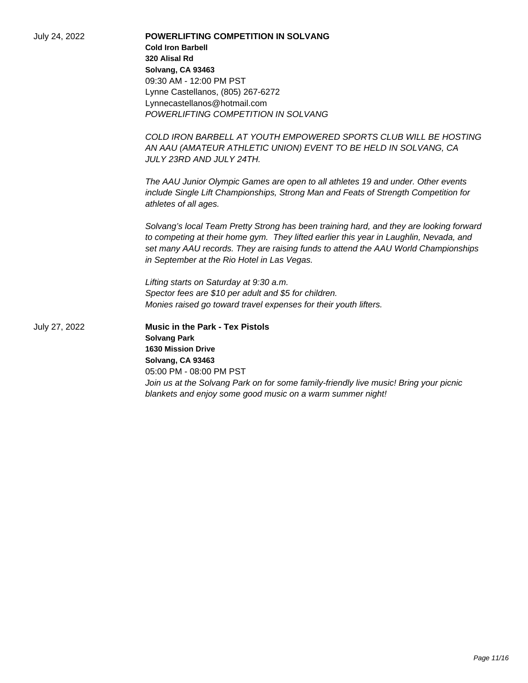| July 24, 2022 | <b>POWERLIFTING COMPETITION IN SOLVANG</b>                                                                                                                                                                                                                                                                             |
|---------------|------------------------------------------------------------------------------------------------------------------------------------------------------------------------------------------------------------------------------------------------------------------------------------------------------------------------|
|               | <b>Cold Iron Barbell</b>                                                                                                                                                                                                                                                                                               |
|               | 320 Alisal Rd                                                                                                                                                                                                                                                                                                          |
|               | Solvang, CA 93463                                                                                                                                                                                                                                                                                                      |
|               | 09:30 AM - 12:00 PM PST                                                                                                                                                                                                                                                                                                |
|               | Lynne Castellanos, (805) 267-6272                                                                                                                                                                                                                                                                                      |
|               | Lynnecastellanos@hotmail.com                                                                                                                                                                                                                                                                                           |
|               | POWERLIFTING COMPETITION IN SOLVANG                                                                                                                                                                                                                                                                                    |
|               | COLD IRON BARBELL AT YOUTH EMPOWERED SPORTS CLUB WILL BE HOSTING                                                                                                                                                                                                                                                       |
|               | AN AAU (AMATEUR ATHLETIC UNION) EVENT TO BE HELD IN SOLVANG, CA<br>JULY 23RD AND JULY 24TH.                                                                                                                                                                                                                            |
|               | The AAU Junior Olympic Games are open to all athletes 19 and under. Other events                                                                                                                                                                                                                                       |
|               | include Single Lift Championships, Strong Man and Feats of Strength Competition for<br>athletes of all ages.                                                                                                                                                                                                           |
|               | Solvang's local Team Pretty Strong has been training hard, and they are looking forward<br>to competing at their home gym. They lifted earlier this year in Laughlin, Nevada, and<br>set many AAU records. They are raising funds to attend the AAU World Championships<br>in September at the Rio Hotel in Las Vegas. |
|               | Lifting starts on Saturday at 9:30 a.m.                                                                                                                                                                                                                                                                                |
|               | Spector fees are \$10 per adult and \$5 for children.                                                                                                                                                                                                                                                                  |
|               | Monies raised go toward travel expenses for their youth lifters.                                                                                                                                                                                                                                                       |
| July 27, 2022 | <b>Music in the Park - Tex Pistols</b>                                                                                                                                                                                                                                                                                 |
|               | <b>Solvang Park</b>                                                                                                                                                                                                                                                                                                    |
|               | <b>1630 Mission Drive</b>                                                                                                                                                                                                                                                                                              |
|               | Solvang, CA 93463                                                                                                                                                                                                                                                                                                      |
|               | 05:00 PM - 08:00 PM PST                                                                                                                                                                                                                                                                                                |
|               | Join us at the Solvang Park on for some family-friendly live music! Bring your picnic                                                                                                                                                                                                                                  |
|               | blankets and enjoy some good music on a warm summer night!                                                                                                                                                                                                                                                             |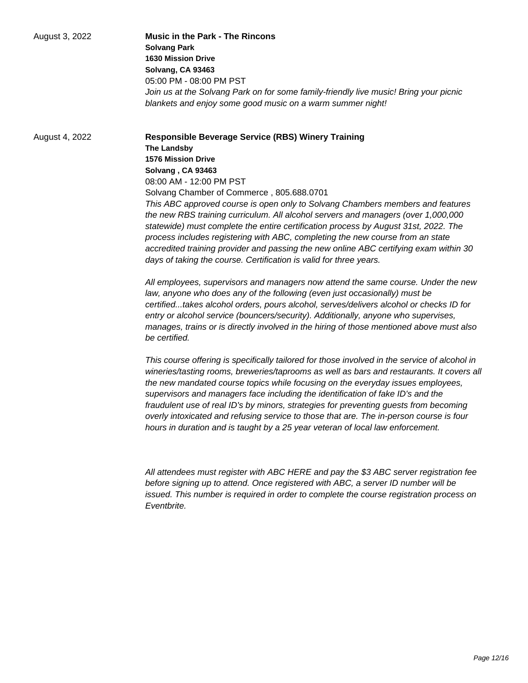| August 3, 2022 | <b>Music in the Park - The Rincons</b>                                                |
|----------------|---------------------------------------------------------------------------------------|
|                | <b>Solvang Park</b>                                                                   |
|                | <b>1630 Mission Drive</b>                                                             |
|                | Solvang, CA 93463                                                                     |
|                | 05:00 PM - 08:00 PM PST                                                               |
|                | Join us at the Solvang Park on for some family-friendly live music! Bring your picnic |

August 4, 2022 **Responsible Beverage Service (RBS) Winery Training The Landsby 1576 Mission Drive Solvang , CA 93463** 08:00 AM - 12:00 PM PST Solvang Chamber of Commerce , 805.688.0701 This ABC approved course is open only to Solvang Chambers members and features the new RBS training curriculum. All alcohol servers and managers (over 1,000,000 statewide) must complete the entire certification process by August 31st, 2022. The process includes registering with ABC, completing the new course from an state accredited training provider and passing the new online ABC certifying exam within 30 days of taking the course. Certification is valid for three years.

blankets and enjoy some good music on a warm summer night!

All employees, supervisors and managers now attend the same course. Under the new law, anyone who does any of the following (even just occasionally) must be certified...takes alcohol orders, pours alcohol, serves/delivers alcohol or checks ID for entry or alcohol service (bouncers/security). Additionally, anyone who supervises, manages, trains or is directly involved in the hiring of those mentioned above must also be certified.

This course offering is specifically tailored for those involved in the service of alcohol in wineries/tasting rooms, breweries/taprooms as well as bars and restaurants. It covers all the new mandated course topics while focusing on the everyday issues employees, supervisors and managers face including the identification of fake ID's and the fraudulent use of real ID's by minors, strategies for preventing guests from becoming overly intoxicated and refusing service to those that are. The in-person course is four hours in duration and is taught by a 25 year veteran of local law enforcement.

All attendees must register with ABC HERE and pay the \$3 ABC server registration fee before signing up to attend. Once registered with ABC, a server ID number will be issued. This number is required in order to complete the course registration process on **Fventhrite**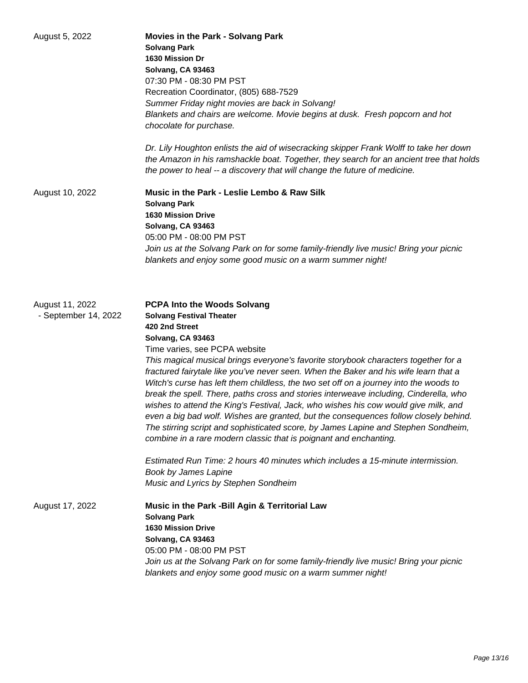| August 5, 2022                          | Movies in the Park - Solvang Park<br><b>Solvang Park</b><br>1630 Mission Dr<br>Solvang, CA 93463<br>07:30 PM - 08:30 PM PST<br>Recreation Coordinator, (805) 688-7529<br>Summer Friday night movies are back in Solvang!<br>Blankets and chairs are welcome. Movie begins at dusk. Fresh popcorn and hot<br>chocolate for purchase.<br>Dr. Lily Houghton enlists the aid of wisecracking skipper Frank Wolff to take her down<br>the Amazon in his ramshackle boat. Together, they search for an ancient tree that holds<br>the power to heal -- a discovery that will change the future of medicine.                                                                                                                                                                                                                                                                                                                                                                                                       |
|-----------------------------------------|-------------------------------------------------------------------------------------------------------------------------------------------------------------------------------------------------------------------------------------------------------------------------------------------------------------------------------------------------------------------------------------------------------------------------------------------------------------------------------------------------------------------------------------------------------------------------------------------------------------------------------------------------------------------------------------------------------------------------------------------------------------------------------------------------------------------------------------------------------------------------------------------------------------------------------------------------------------------------------------------------------------|
| August 10, 2022                         | Music in the Park - Leslie Lembo & Raw Silk<br><b>Solvang Park</b><br><b>1630 Mission Drive</b><br>Solvang, CA 93463<br>05:00 PM - 08:00 PM PST<br>Join us at the Solvang Park on for some family-friendly live music! Bring your picnic<br>blankets and enjoy some good music on a warm summer night!                                                                                                                                                                                                                                                                                                                                                                                                                                                                                                                                                                                                                                                                                                      |
| August 11, 2022<br>- September 14, 2022 | <b>PCPA Into the Woods Solvang</b><br><b>Solvang Festival Theater</b><br>420 2nd Street<br>Solvang, CA 93463<br>Time varies, see PCPA website<br>This magical musical brings everyone's favorite storybook characters together for a<br>fractured fairytale like you've never seen. When the Baker and his wife learn that a<br>Witch's curse has left them childless, the two set off on a journey into the woods to<br>break the spell. There, paths cross and stories interweave including, Cinderella, who<br>wishes to attend the King's Festival, Jack, who wishes his cow would give milk, and<br>even a big bad wolf. Wishes are granted, but the consequences follow closely behind.<br>The stirring script and sophisticated score, by James Lapine and Stephen Sondheim,<br>combine in a rare modern classic that is poignant and enchanting.<br>Estimated Run Time: 2 hours 40 minutes which includes a 15-minute intermission.<br>Book by James Lapine<br>Music and Lyrics by Stephen Sondheim |
| August 17, 2022                         | Music in the Park -Bill Agin & Territorial Law<br><b>Solvang Park</b><br><b>1630 Mission Drive</b><br>Solvang, CA 93463<br>05:00 PM - 08:00 PM PST<br>Join us at the Solvang Park on for some family-friendly live music! Bring your picnic<br>blankets and enjoy some good music on a warm summer night!                                                                                                                                                                                                                                                                                                                                                                                                                                                                                                                                                                                                                                                                                                   |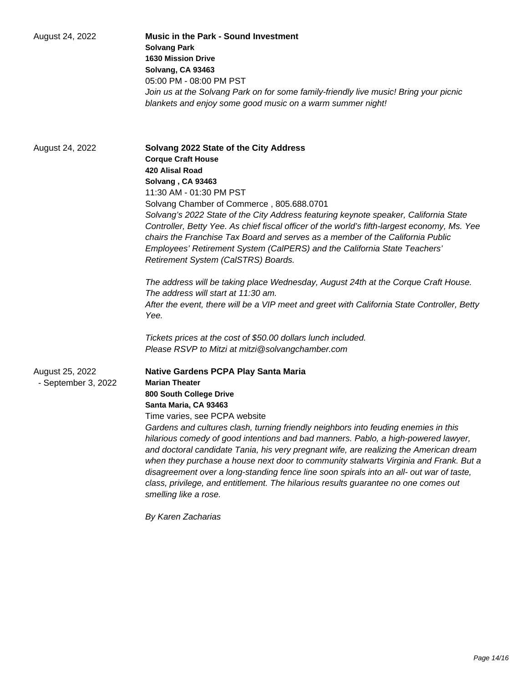| August 24, 2022                        | <b>Music in the Park - Sound Investment</b><br><b>Solvang Park</b><br><b>1630 Mission Drive</b><br>Solvang, CA 93463<br>05:00 PM - 08:00 PM PST<br>Join us at the Solvang Park on for some family-friendly live music! Bring your picnic<br>blankets and enjoy some good music on a warm summer night!                                                                                                                                                                                                                                                                                                                                                                                                                                |
|----------------------------------------|---------------------------------------------------------------------------------------------------------------------------------------------------------------------------------------------------------------------------------------------------------------------------------------------------------------------------------------------------------------------------------------------------------------------------------------------------------------------------------------------------------------------------------------------------------------------------------------------------------------------------------------------------------------------------------------------------------------------------------------|
| August 24, 2022                        | Solvang 2022 State of the City Address<br><b>Corque Craft House</b><br><b>420 Alisal Road</b><br>Solvang, CA 93463<br>11:30 AM - 01:30 PM PST<br>Solvang Chamber of Commerce, 805.688.0701<br>Solvang's 2022 State of the City Address featuring keynote speaker, California State<br>Controller, Betty Yee. As chief fiscal officer of the world's fifth-largest economy, Ms. Yee<br>chairs the Franchise Tax Board and serves as a member of the California Public<br>Employees' Retirement System (CalPERS) and the California State Teachers'<br>Retirement System (CalSTRS) Boards.<br>The address will be taking place Wednesday, August 24th at the Corque Craft House.                                                        |
|                                        | The address will start at 11:30 am.<br>After the event, there will be a VIP meet and greet with California State Controller, Betty<br>Yee.<br>Tickets prices at the cost of \$50.00 dollars lunch included.<br>Please RSVP to Mitzi at mitzi@solvangchamber.com                                                                                                                                                                                                                                                                                                                                                                                                                                                                       |
| August 25, 2022<br>- September 3, 2022 | <b>Native Gardens PCPA Play Santa Maria</b><br><b>Marian Theater</b><br>800 South College Drive<br>Santa Maria, CA 93463<br>Time varies, see PCPA website<br>Gardens and cultures clash, turning friendly neighbors into feuding enemies in this<br>hilarious comedy of good intentions and bad manners. Pablo, a high-powered lawyer,<br>and doctoral candidate Tania, his very pregnant wife, are realizing the American dream<br>when they purchase a house next door to community stalwarts Virginia and Frank. But a<br>disagreement over a long-standing fence line soon spirals into an all- out war of taste,<br>class, privilege, and entitlement. The hilarious results guarantee no one comes out<br>smelling like a rose. |

By Karen Zacharias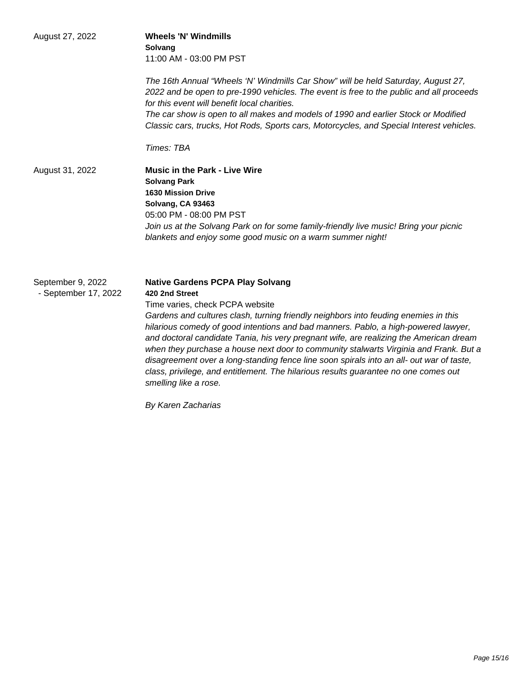| August 27, 2022                           | <b>Wheels 'N' Windmills</b><br>Solvang<br>11:00 AM - 03:00 PM PST<br>The 16th Annual "Wheels 'N' Windmills Car Show" will be held Saturday, August 27,<br>2022 and be open to pre-1990 vehicles. The event is free to the public and all proceeds                                                                                                                                                                                                                                                                                                                                                                                                                        |
|-------------------------------------------|--------------------------------------------------------------------------------------------------------------------------------------------------------------------------------------------------------------------------------------------------------------------------------------------------------------------------------------------------------------------------------------------------------------------------------------------------------------------------------------------------------------------------------------------------------------------------------------------------------------------------------------------------------------------------|
|                                           | for this event will benefit local charities.<br>The car show is open to all makes and models of 1990 and earlier Stock or Modified<br>Classic cars, trucks, Hot Rods, Sports cars, Motorcycles, and Special Interest vehicles.                                                                                                                                                                                                                                                                                                                                                                                                                                           |
|                                           | Times: TBA                                                                                                                                                                                                                                                                                                                                                                                                                                                                                                                                                                                                                                                               |
| August 31, 2022                           | <b>Music in the Park - Live Wire</b><br><b>Solvang Park</b><br><b>1630 Mission Drive</b><br>Solvang, CA 93463<br>05:00 PM - 08:00 PM PST<br>Join us at the Solvang Park on for some family-friendly live music! Bring your picnic<br>blankets and enjoy some good music on a warm summer night!                                                                                                                                                                                                                                                                                                                                                                          |
| September 9, 2022<br>- September 17, 2022 | <b>Native Gardens PCPA Play Solvang</b><br>420 2nd Street<br>Time varies, check PCPA website<br>Gardens and cultures clash, turning friendly neighbors into feuding enemies in this<br>hilarious comedy of good intentions and bad manners. Pablo, a high-powered lawyer,<br>and doctoral candidate Tania, his very pregnant wife, are realizing the American dream<br>when they purchase a house next door to community stalwarts Virginia and Frank. But a<br>disagreement over a long-standing fence line soon spirals into an all- out war of taste,<br>class, privilege, and entitlement. The hilarious results guarantee no one comes out<br>smelling like a rose. |

By Karen Zacharias